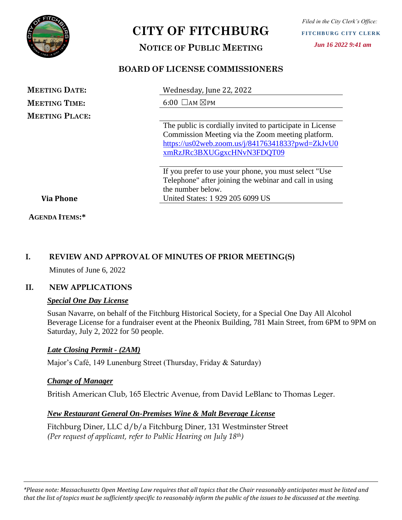

# **CITY OF FITCHBURG**

# **NOTICE OF PUBLIC MEETING**

# **BOARD OF LICENSE COMMISSIONERS**

| <b>MEETING DATE:</b>  | Wednesday, June 22, 2022                                  |
|-----------------------|-----------------------------------------------------------|
| <b>MEETING TIME:</b>  | $6:00$ $\Box$ AM $\boxtimes$ PM                           |
| <b>MEETING PLACE:</b> |                                                           |
|                       | The public is cordially invited to participate in License |
|                       | Commission Meeting via the Zoom meeting platform.         |
|                       | https://us02web.zoom.us/j/84176341833?pwd=ZkJvU0          |
|                       | xmRzJRc3BXUGgxcHNvN3FDQT09                                |
|                       | If you prefer to use your phone, you must select "Use"    |
|                       | Telephone" after joining the webinar and call in using    |
|                       | the number below.                                         |
| <b>Via Phone</b>      | United States: 1 929 205 6099 US                          |
|                       |                                                           |

# **I. REVIEW AND APPROVAL OF MINUTES OF PRIOR MEETING(S)**

Minutes of June 6, 2022

## **II. NEW APPLICATIONS**

**AGENDA ITEMS:\***

#### *Special One Day License*

Susan Navarre, on behalf of the Fitchburg Historical Society, for a Special One Day All Alcohol Beverage License for a fundraiser event at the Pheonix Building, 781 Main Street, from 6PM to 9PM on Saturday, July 2, 2022 for 50 people.

## *Late Closing Permit - (2AM)*

Major's Café, 149 Lunenburg Street (Thursday, Friday & Saturday)

## *Change of Manager*

British American Club, 165 Electric Avenue, from David LeBlanc to Thomas Leger.

## *New Restaurant General On-Premises Wine & Malt Beverage License*

Fitchburg Diner, LLC d/b/a Fitchburg Diner, 131 Westminster Street *(Per request of applicant, refer to Public Hearing on July 18th)*